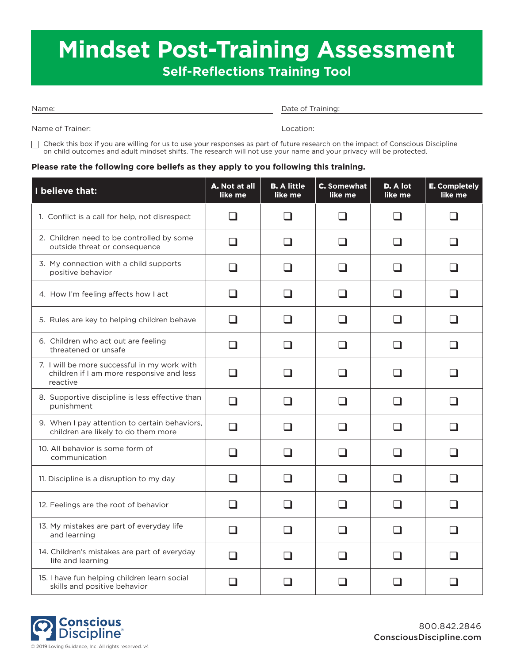# **Mindset Post-Training Assessment Self-Reflections Training Tool**

Date of Training:

Name of Trainer:

Location:

 $\Box$  Check this box if you are willing for us to use your responses as part of future research on the impact of Conscious Discipline on child outcomes and adult mindset shifts. The research will not use your name and your privacy will be protected.

#### **Please rate the following core beliefs as they apply to you following this training.**

| I believe that:                                                                                       | A. Not at all<br>like me | <b>B.</b> A little<br>like me | <b>C.</b> Somewhat<br>like me | D. A lot<br>like me | <b>E.</b> Completely<br>like me |
|-------------------------------------------------------------------------------------------------------|--------------------------|-------------------------------|-------------------------------|---------------------|---------------------------------|
| 1. Conflict is a call for help, not disrespect                                                        | - 1                      |                               |                               | ப                   |                                 |
| 2. Children need to be controlled by some<br>outside threat or consequence                            | ப                        | - 1                           | H                             | ப                   |                                 |
| 3. My connection with a child supports<br>positive behavior                                           | ப                        |                               |                               | ❏                   |                                 |
| 4. How I'm feeling affects how I act                                                                  | $\Box$                   | H                             | H                             | $\Box$              |                                 |
| 5. Rules are key to helping children behave                                                           | ப                        |                               |                               | ⊔                   |                                 |
| 6. Children who act out are feeling<br>threatened or unsafe                                           | ר                        |                               |                               | $\Box$              |                                 |
| 7. I will be more successful in my work with<br>children if I am more responsive and less<br>reactive | - 1                      |                               |                               | . I                 |                                 |
| 8. Supportive discipline is less effective than<br>punishment                                         | - 1                      |                               |                               | $\Box$              |                                 |
| 9. When I pay attention to certain behaviors,<br>children are likely to do them more                  | ⊔                        | H                             | H                             | $\Box$              |                                 |
| 10. All behavior is some form of<br>communication                                                     | $\Box$                   | $\overline{\phantom{a}}$      | H                             | $\Box$              | H                               |
| 11. Discipline is a disruption to my day                                                              | H                        | $\overline{\phantom{0}}$      | H                             | ப                   |                                 |
| 12. Feelings are the root of behavior                                                                 | $\Box$                   | l 1                           | ப                             | ப                   | l I                             |
| 13. My mistakes are part of everyday life<br>and learning                                             | $\sqcup$                 |                               | H                             | $\Box$              |                                 |
| 14. Children's mistakes are part of everyday<br>life and learning                                     | □                        |                               |                               | $\Box$              |                                 |
| 15. I have fun helping children learn social<br>skills and positive behavior                          | a di ser                 |                               |                               | ப                   |                                 |